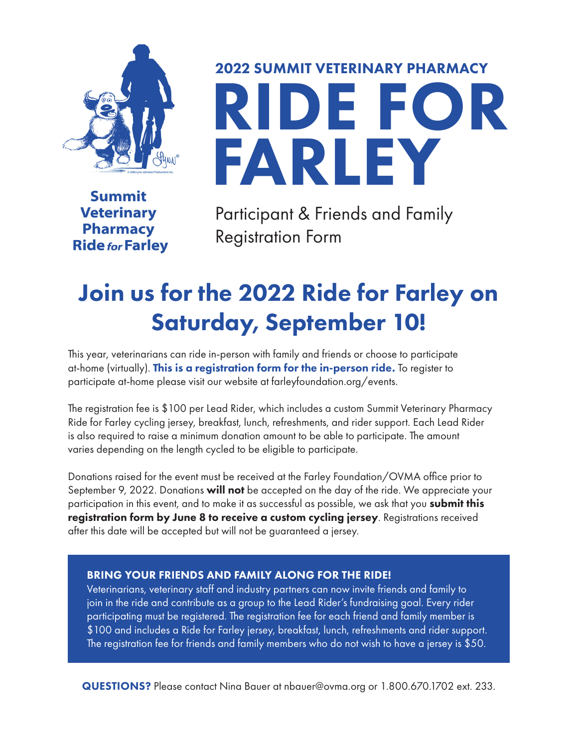

RIDE FOR FARLEY

**Summit Veterinary Pharmacy Ride for Farley** 

Participant & Friends and Family Registration Form

2022 SUMMIT VETERINARY PHARMACY

# Join us for the 2022 Ride for Farley on Saturday, September 10!

This year, veterinarians can ride in-person with family and friends or choose to participate at-home (virtually). This is a registration form for the in-person ride. To register to participate at-home please visit our website at farleyfoundation.org/events.

The registration fee is \$100 per Lead Rider, which includes a custom Summit Veterinary Pharmacy Ride for Farley cycling jersey, breakfast, lunch, refreshments, and rider support. Each Lead Rider is also required to raise a minimum donation amount to be able to participate. The amount varies depending on the length cycled to be eligible to participate.

Donations raised for the event must be received at the Farley Foundation/OVMA office prior to September 9, 2022. Donations will not be accepted on the day of the ride. We appreciate your participation in this event, and to make it as successful as possible, we ask that you **submit this** registration form by June 8 to receive a custom cycling jersey. Registrations received after this date will be accepted but will not be guaranteed a jersey.

#### BRING YOUR FRIENDS AND FAMILY ALONG FOR THE RIDE!

Veterinarians, veterinary staff and industry partners can now invite friends and family to join in the ride and contribute as a group to the Lead Rider's fundraising goal. Every rider participating must be registered. The registration fee for each friend and family member is \$100 and includes a Ride for Farley jersey, breakfast, lunch, refreshments and rider support. The registration fee for friends and family members who do not wish to have a jersey is \$50.

QUESTIONS? Please contact Nina Bauer at nbauer@ovma.org or 1.800.670.1702 ext. 233.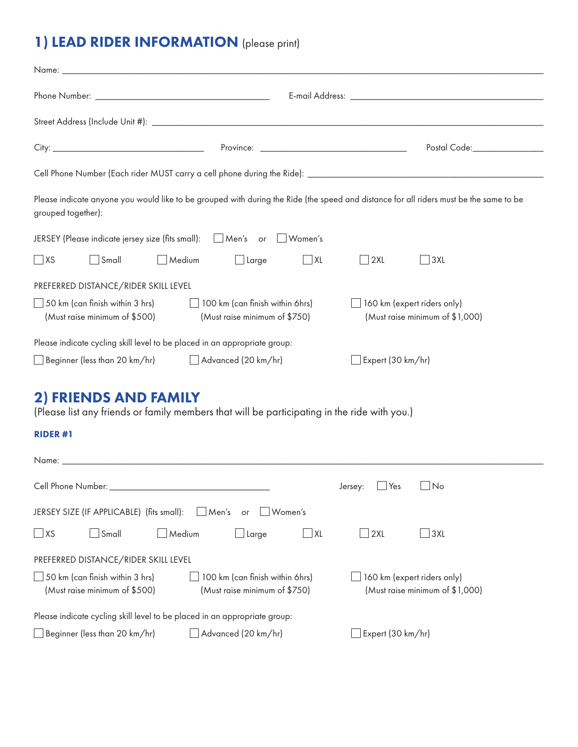## 1) LEAD RIDER INFORMATION (please print)

|                                                                                                                |                               | Postal Code:_________________                                                                                                          |  |  |  |  |
|----------------------------------------------------------------------------------------------------------------|-------------------------------|----------------------------------------------------------------------------------------------------------------------------------------|--|--|--|--|
|                                                                                                                |                               |                                                                                                                                        |  |  |  |  |
| grouped together):                                                                                             |                               | Please indicate anyone you would like to be grouped with during the Ride (the speed and distance for all riders must be the same to be |  |  |  |  |
| JERSEY (Please indicate jersey size (fits small):   Men's or   Women's                                         |                               |                                                                                                                                        |  |  |  |  |
| $\Box$ XS<br>$\Box$ Small<br>Medium                                                                            | Large<br>$\Box$ XL            | $\Box$ 3XL<br>$ $ 2XL                                                                                                                  |  |  |  |  |
| PREFERRED DISTANCE/RIDER SKILL LEVEL                                                                           |                               |                                                                                                                                        |  |  |  |  |
| $\Box$ 50 km (can finish within 3 hrs) $\Box$ 100 km (can finish within 6hrs)<br>(Must raise minimum of \$500) | (Must raise minimum of \$750) | 160 km (expert riders only)<br>(Must raise minimum of \$1,000)                                                                         |  |  |  |  |
| Please indicate cycling skill level to be placed in an appropriate group:                                      |                               |                                                                                                                                        |  |  |  |  |
| □ Beginner (less than 20 km/hr)      △ Advanced (20 km/hr)                                                     |                               | Stepert (30 km/hr)                                                                                                                     |  |  |  |  |

## 2) FRIENDS AND FAMILY

(Please list any friends or family members that will be participating in the ride with you.)

#### RIDER #1

| Name:                                                                     |                                                                  |                             |                                 |  |  |
|---------------------------------------------------------------------------|------------------------------------------------------------------|-----------------------------|---------------------------------|--|--|
| Cell Phone Number: National According to the Cell Phone Number:           |                                                                  | Yes<br>Jersey:              | No.<br>$\mathbf{I}$             |  |  |
| JERSEY SIZE (IF APPLICABLE) (fits small):<br>$Men's$ or<br>Women's        |                                                                  |                             |                                 |  |  |
| $\Box$ XS<br>$\mathsf{\vert\mathsf{Small}}$<br>Medium                     | $\Box$ Large<br>l IXL                                            | $\Box$ 2XL                  | 3XL<br>$\blacksquare$           |  |  |
| PREFERRED DISTANCE/RIDER SKILL LEVEL                                      |                                                                  |                             |                                 |  |  |
| $\Box$ 50 km (can finish within 3 hrs)<br>(Must raise minimum of \$500)   | 100 km (can finish within 6hrs)<br>(Must raise minimum of \$750) | 160 km (expert riders only) | (Must raise minimum of \$1,000) |  |  |
| Please indicate cycling skill level to be placed in an appropriate group: |                                                                  |                             |                                 |  |  |
| $\Box$ Beginner (less than 20 km/hr)                                      | $\Box$ Advanced (20 km/hr)                                       | $\Box$ Expert (30 km/hr)    |                                 |  |  |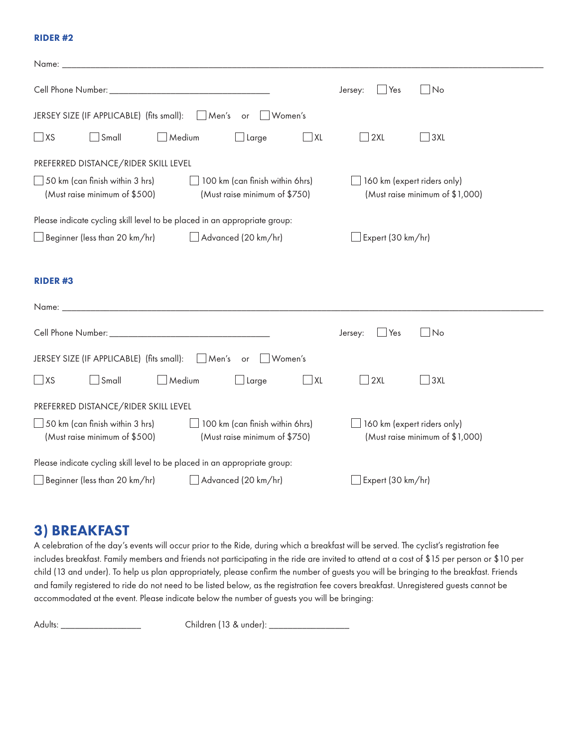#### RIDER #2

| Name:                                                                                                                                       |                                                                |  |  |  |  |  |
|---------------------------------------------------------------------------------------------------------------------------------------------|----------------------------------------------------------------|--|--|--|--|--|
|                                                                                                                                             | $\Box$ Yes<br>$\Box$ No<br>Jersey:                             |  |  |  |  |  |
| JERSEY SIZE (IF APPLICABLE) (fits small): Aen's or<br>∣Women's                                                                              |                                                                |  |  |  |  |  |
| $\Box$ XS<br>$\Box$ Small<br>$\Box$ Medium<br>$\overline{\phantom{a}}$ XL<br>$\Box$ Large                                                   | 2XL<br>3XL<br>$\mathcal{L}$                                    |  |  |  |  |  |
| PREFERRED DISTANCE/RIDER SKILL LEVEL                                                                                                        |                                                                |  |  |  |  |  |
| $\Box$ 50 km (can finish within 3 hrs)<br>100 km (can finish within 6hrs)<br>(Must raise minimum of \$500)<br>(Must raise minimum of \$750) | 160 km (expert riders only)<br>(Must raise minimum of \$1,000) |  |  |  |  |  |
| Please indicate cycling skill level to be placed in an appropriate group:                                                                   |                                                                |  |  |  |  |  |
| Advanced (20 km/hr)<br>Beginner (less than 20 km/hr)                                                                                        | Expert (30 km/hr)                                              |  |  |  |  |  |
|                                                                                                                                             |                                                                |  |  |  |  |  |
| <b>RIDER#3</b>                                                                                                                              |                                                                |  |  |  |  |  |
| Name:                                                                                                                                       |                                                                |  |  |  |  |  |
|                                                                                                                                             | $\Box$ Yes<br>$\bigsqcup$ No<br>Jersey:                        |  |  |  |  |  |
| JERSEY SIZE (IF APPLICABLE) (fits small):   Men's or<br>Women's                                                                             |                                                                |  |  |  |  |  |
| $\Box$ XS<br>$\Box$ Small<br>$\Box$ Medium<br>$\Box$ Large<br>$\overline{\phantom{a}}$ XL                                                   | 2XL<br>3XL                                                     |  |  |  |  |  |
| PREFERRED DISTANCE/RIDER SKILL LEVEL                                                                                                        |                                                                |  |  |  |  |  |
| $\Box$ 50 km (can finish within 3 hrs)<br>100 km (can finish within 6hrs)<br>(Must raise minimum of \$500)<br>(Must raise minimum of \$750) | 160 km (expert riders only)<br>(Must raise minimum of \$1,000) |  |  |  |  |  |
| Please indicate cycling skill level to be placed in an appropriate group:                                                                   |                                                                |  |  |  |  |  |
| $\Box$ Beginner (less than 20 km/hr)<br>Advanced (20 km/hr)                                                                                 | Expert (30 km/hr)                                              |  |  |  |  |  |

## 3) BREAKFAST

A celebration of the day's events will occur prior to the Ride, during which a breakfast will be served. The cyclist's registration fee includes breakfast. Family members and friends not participating in the ride are invited to attend at a cost of \$15 per person or \$10 per child (13 and under). To help us plan appropriately, please confirm the number of guests you will be bringing to the breakfast. Friends and family registered to ride do not need to be listed below, as the registration fee covers breakfast. Unregistered guests cannot be accommodated at the event. Please indicate below the number of guests you will be bringing:

Adults: \_\_\_\_\_\_\_\_\_\_\_\_\_\_\_\_\_ Children (13 & under): \_\_\_\_\_\_\_\_\_\_\_\_\_\_\_\_\_